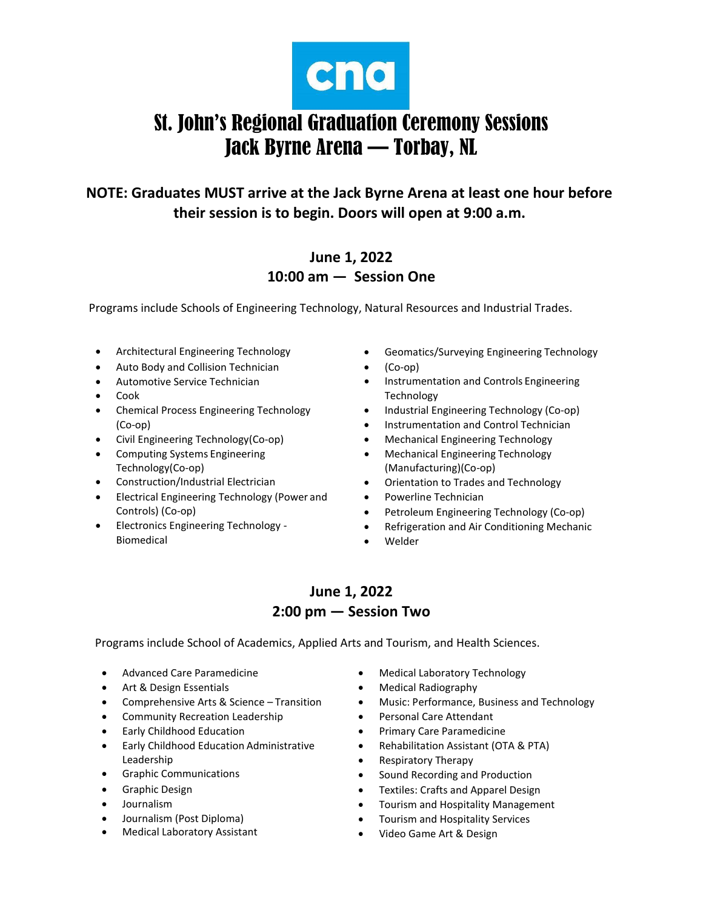

# St. John's Regional Graduation Ceremony Sessions Jack Byrne Arena — Torbay, NL

**NOTE: Graduates MUST arrive at the Jack Byrne Arena at least one hour before their session is to begin. Doors will open at 9:00 a.m.**

#### **June 1, 2022 10:00 am — Session One**

Programs include Schools of Engineering Technology, Natural Resources and Industrial Trades.

- Architectural Engineering Technology
- Auto Body and Collision Technician
- Automotive Service Technician
- Cook
- Chemical Process Engineering Technology (Co-op)
- Civil Engineering Technology(Co-op)
- Computing Systems Engineering Technology(Co-op)
- Construction/Industrial Electrician
- Electrical Engineering Technology (Power and Controls) (Co-op)
- Electronics Engineering Technology Biomedical
- Geomatics/Surveying Engineering Technology
- (Co-op)
- **•** Instrumentation and Controls Engineering Technology
- Industrial Engineering Technology (Co-op)
- Instrumentation and Control Technician
- Mechanical Engineering Technology
- Mechanical Engineering Technology (Manufacturing)(Co-op)
- Orientation to Trades and Technology
- Powerline Technician
- Petroleum Engineering Technology (Co-op)
- Refrigeration and Air Conditioning Mechanic
- Welder

### **June 1, 2022 2:00 pm — Session Two**

Programs include School of Academics, Applied Arts and Tourism, and Health Sciences.

- Advanced Care Paramedicine
- Art & Design Essentials
- Comprehensive Arts & Science Transition
- Community Recreation Leadership
- Early Childhood Education
- Early Childhood Education Administrative Leadership
- Graphic Communications
- Graphic Design
- Journalism
- Journalism (Post Diploma)
- Medical Laboratory Assistant
- Medical Laboratory Technology
- Medical Radiography
- Music: Performance, Business and Technology
- Personal Care Attendant
- Primary Care Paramedicine
- Rehabilitation Assistant (OTA & PTA)
- Respiratory Therapy
- Sound Recording and Production
- Textiles: Crafts and Apparel Design
- Tourism and Hospitality Management
- Tourism and Hospitality Services
- Video Game Art & Design